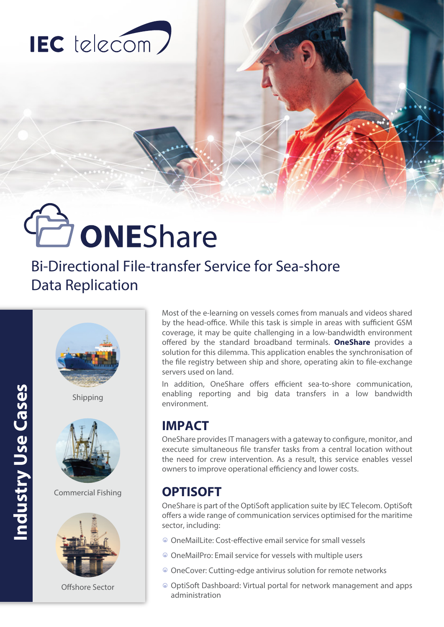

# **JONEShare**

## Bi-Directional File-transfer Service for Sea-shore Data Replication



Most of the e-learning on vessels comes from manuals and videos shared by the head-office. While this task is simple in areas with sufficient GSM coverage, it may be quite challenging in a low-bandwidth environment offered by the standard broadband terminals. **OneShare** provides a solution for this dilemma. This application enables the synchronisation of the file registry between ship and shore, operating akin to file-exchange servers used on land.

In addition, OneShare offers efficient sea-to-shore communication, enabling reporting and big data transfers in a low bandwidth environment.

## **IMPACT**

OneShare provides IT managers with a gateway to configure, monitor, and execute simultaneous file transfer tasks from a central location without the need for crew intervention. As a result, this service enables vessel owners to improve operational efficiency and lower costs.

### **OPTISOFT**

OneShare is part of the OptiSoft application suite by IEC Telecom. OptiSoft offers a wide range of communication services optimised for the maritime sector, including:

- OneMailLite: Cost-effective email service for small vessels
- OneMailPro: Email service for vessels with multiple users
- OneCover: Cutting-edge antivirus solution for remote networks
- OptiSoft Dashboard: Virtual portal for network management and apps administration